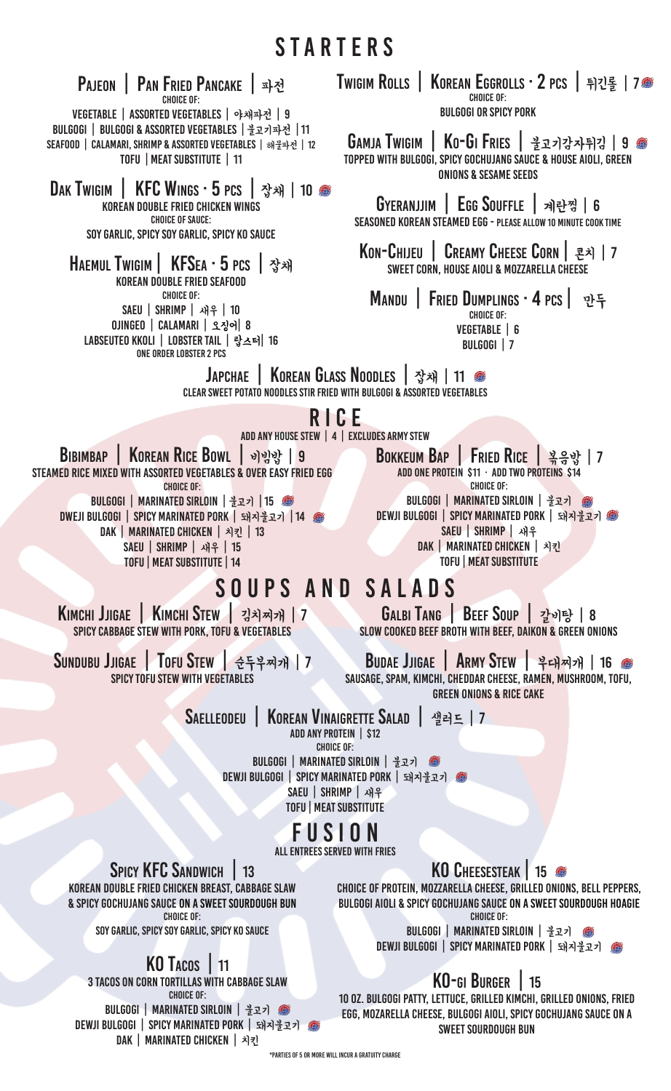Pajeon | Pan Fried Pancake | 파전 Choice of: Vegetable | Assorted Vegetables | 야채파전 | 9 Bulgogi | Bulgogi & Assorted Vegetables | 불고기파전 | 11 Seafood | Calamari, Shrimp & Assorted Vegetables | 해물파전 | 12 TOFU | MEAT SUBSTITUTE | 11 DAK TWIGIM | KFC WINGS · 5 PCS | 잡채 | 10 ● Korean Double Fried chicken wings Choice of sauce: Soy Garlic, Spicy Soy Garlic, Spicy KO Sauce Haemul Twigim | KFSea · 5 pcs | 잡채 Korean Double Fried seafood Choice of: Saeu | Shrimp | 새우 | 10 ojingeo | calamari | 오징어| 8 labseuteo kkoli | lobster tail | 랍스터| 16 one order lobster 2 pcs

TWIGIM ROLLS | KOREAN EGGROLLS · 2 PCS | 튀긴롤 | 7● Choice of: Bulgogi or spicy pork

GAMJA TWIGIM | KO-GI FRIES | 불고기강자튀김 | 9 ● Topped with Bulgogi, Spicy Gochujang Sauce & House Aioli, Green Onions & Sesame Seeds

Gyeranjjim | Egg Souffle | 계란찜 | 6 Seasoned Korean Steamed Egg - please allow 10 minute cook time

Kon-Chijeu | Creamy Cheese Corn | 콘치 | 7 SWEET CORN, HOUSE AIOLI & MOZZARELLA CHEESE

MANDU | FRIED DUMPLINGS · 4 PCS | 만두 Vegetable | 6 Bulgogi | 7

Japchae | Korean Glass Noodles | 잡채 | 11 Clear Sweet Potato Noodles Stir Fried with Bulgogi & Assorted Vegetables

### RICE

add any house stew | 4 | excludes army stew

BIBIMBAP | KOREAN RICE BOWL | 비빔밥 | 9 Steamed Rice Mixed with Assorted Vegetables & over easy fried egg Choice of: Bulgogi | Marinated Sirloin | 불고기 | 15 Dweji Bulgogi | Spicy Marinated Pork | 돼지불고기 | 14 DAK | MARINATED CHICKEN | 치킨 | 13 SAEU | SHRIMP | 새우 | 15 TOFU | MEAT SUBSTITUTE | 14

Bokkeum Bap | Fried Rice | 볶음밥 | 7 Add One Protein \$11 · Add Two Proteins \$14 Choice of: Bulgogi | Marinated Sirloin | 불고기 DEWJI BULGOGI | SPICY MARINATED PORK | 돼지불고기 @ Saeu | Shrimp | 새우 Dak | Marinated Chicken | 치킨 TOFU | meat substitute

### SOUPS and SALADS Galbi Tang | Beef Soup | 갈비탕 | 8

Kimchi Jjigae | Kimchi Stew | 김치찌개 | 7 Spicy Cabbage Stew with Pork, Tofu & Vegetables

Sundubu Jjigae | Tofu Stew | 순두부찌개 | 7 SPICY TOFU STEW WITH VEGETABLES

Budae Jjigae | Army Stew | 부대찌개 | 16 Sausage, SPAM, Kimchi, Cheddar Cheese, Ramen, Mushroom, Tofu,

Green Onions & Rice Cake

Slow Cooked Beef Broth with Beef, Daikon & Green Onions

Saelleodeu | Korean Vinaigrette Salad | 샐러드 | 7

ADD ANY PROTEIN | \$12

Choice of:

Bulgogi | Marinated Sirloin | 불고기 DEWJI BULGOGI | SPICY MARINATED PORK | 돼지불고기 @ Saeu | Shrimp | 새우 TOFU | MEAT SUBSTITUTE

## FUSION

all entrees served with fries

SPICY **KFC** SANDWICH 13 Korean Double Fried Chicken Breast, Cabbage Slaw & Spicy Gochujang sauce on a sweet sourdough bun Choice of:

Soy Garlic, Spicy Soy Garlic, Spicy KO Sauce

## KO Tacos | 11

3 Tacos on Corn Tortillas with Cabbage Slaw Choice of: Bulgogi | Marinated Sirloin | 불고기

Dewji Bulgogi | Spicy Marinated Pork | 돼지불고기 DAK | MARINATED CHICKEN | 치키

KO Cheesesteak | 15

Choice of Protein, Mozzarella Cheese, Grilled Onions, Bell Peppers, Bulgogi Aioli & Spicy Gochujang Sauce on a sweet sourdough hoagie Choice of:

> Bulgogi | Marinated Sirloin | 불고기 DEWJI BULGOGI | SPICY MARINATED PORK | 돼지불고기 @

### KO-gi Burger | 15

10 oz. Bulgogi Patty, lettuce, grilled kimchi, grilled onions, fried egg, mozarella cheese, bulgogi aioli, spicy gochujang sauce on a sweet sourdough bun

\*PARTIES OF 5 OR MORE WILLINCUR A GRATUITY CHARGE